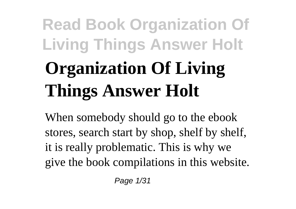# **Read Book Organization Of Living Things Answer Holt Organization Of Living Things Answer Holt**

When somebody should go to the ebook stores, search start by shop, shelf by shelf, it is really problematic. This is why we give the book compilations in this website.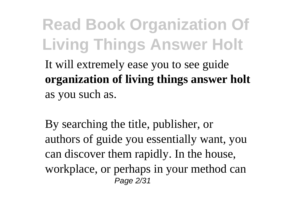**Read Book Organization Of Living Things Answer Holt** It will extremely ease you to see guide **organization of living things answer holt** as you such as.

By searching the title, publisher, or authors of guide you essentially want, you can discover them rapidly. In the house, workplace, or perhaps in your method can Page 2/31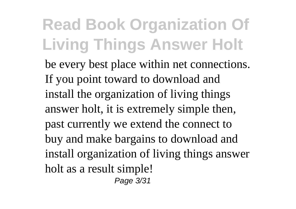be every best place within net connections. If you point toward to download and install the organization of living things answer holt, it is extremely simple then, past currently we extend the connect to buy and make bargains to download and install organization of living things answer holt as a result simple! Page 3/31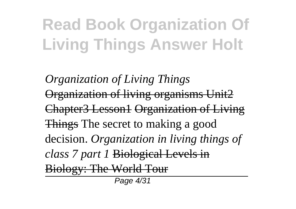*Organization of Living Things* Organization of living organisms Unit2 Chapter3 Lesson1 Organization of Living Things The secret to making a good decision. *Organization in living things of class 7 part 1* Biological Levels in Biology: The World Tour Page 4/31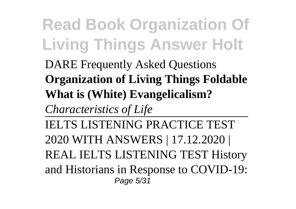### DARE Frequently Asked Questions **Organization of Living Things Foldable What is (White) Evangelicalism?**

*Characteristics of Life*

IELTS LISTENING PRACTICE TEST 2020 WITH ANSWERS | 17.12.2020 | REAL IELTS LISTENING TEST History and Historians in Response to COVID-19: Page 5/31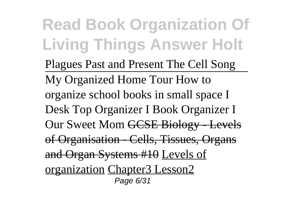Plagues Past and Present The Cell Song My Organized Home Tour How to organize school books in small space I Desk Top Organizer I Book Organizer I Our Sweet Mom GCSE Biology - Levels of Organisation - Cells, Tissues, Organs and Organ Systems #10 Levels of organization Chapter3 Lesson2 Page 6/31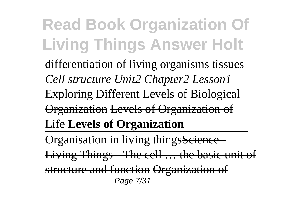**Read Book Organization Of Living Things Answer Holt** differentiation of living organisms tissues *Cell structure Unit2 Chapter2 Lesson1* Exploring Different Levels of Biological Organization Levels of Organization of Life **Levels of Organization** Organisation in living thingsScience -Living Things - The cell … the basic unit of structure and function Organization of Page 7/31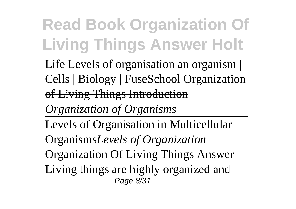**Read Book Organization Of Living Things Answer Holt** Life Levels of organisation an organism | Cells | Biology | FuseSchool Organization of Living Things Introduction *Organization of Organisms* Levels of Organisation in Multicellular Organisms*Levels of Organization* Organization Of Living Things Answer Living things are highly organized and Page 8/31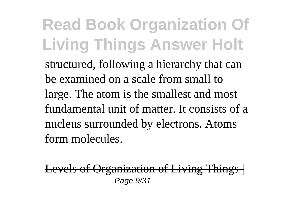structured, following a hierarchy that can be examined on a scale from small to large. The atom is the smallest and most fundamental unit of matter. It consists of a nucleus surrounded by electrons. Atoms form molecules.

Levels of Organization of Living Things Page 9/31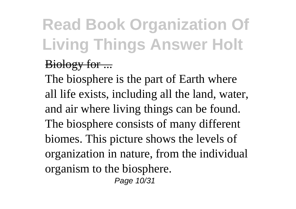### Biology for ...

The biosphere is the part of Earth where all life exists, including all the land, water, and air where living things can be found. The biosphere consists of many different biomes. This picture shows the levels of organization in nature, from the individual organism to the biosphere. Page 10/31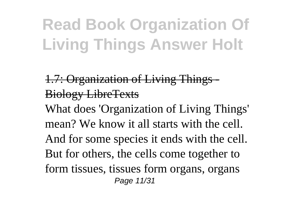1.7: Organization of Living Things - Biology LibreTexts What does 'Organization of Living Things' mean? We know it all starts with the cell. And for some species it ends with the cell. But for others, the cells come together to form tissues, tissues form organs, organs Page 11/31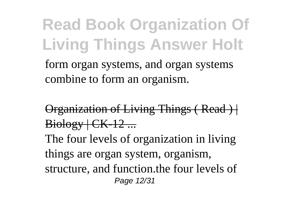form organ systems, and organ systems combine to form an organism.

Organization of Living Things (Read ) |  $Bioley + CK-12...$ The four levels of organization in living things are organ system, organism, structure, and function.the four levels of Page 12/31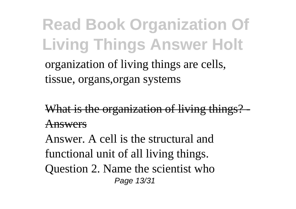organization of living things are cells, tissue, organs,organ systems

What is the organization of living things? Answers

Answer. A cell is the structural and functional unit of all living things. Question 2. Name the scientist who Page 13/31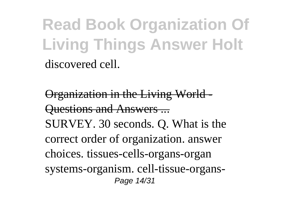**Read Book Organization Of Living Things Answer Holt** discovered cell.

Organization in the Living World - Questions and Answers ... SURVEY. 30 seconds. Q. What is the correct order of organization. answer choices. tissues-cells-organs-organ systems-organism. cell-tissue-organs-Page 14/31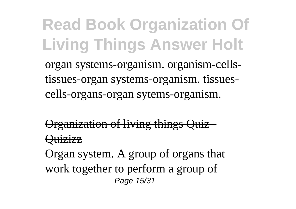**Read Book Organization Of Living Things Answer Holt** organ systems-organism. organism-cellstissues-organ systems-organism. tissuescells-organs-organ sytems-organism.

Organization of living things Quiz - Quizizz

Organ system. A group of organs that work together to perform a group of Page 15/31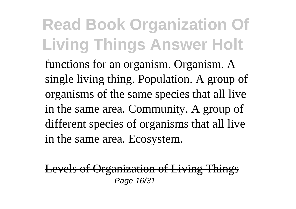functions for an organism. Organism. A single living thing. Population. A group of organisms of the same species that all live in the same area. Community. A group of different species of organisms that all live in the same area. Ecosystem.

Levels of Organization of Living Things Page 16/31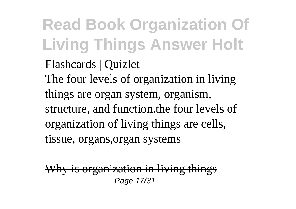#### Flashcards | Quizlet

The four levels of organization in living things are organ system, organism, structure, and function.the four levels of organization of living things are cells, tissue, organs,organ systems

Why is organization in living things Page 17/31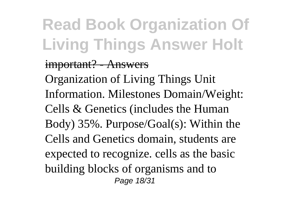#### important? - Answers

Organization of Living Things Unit Information. Milestones Domain/Weight: Cells & Genetics (includes the Human Body) 35%. Purpose/Goal(s): Within the Cells and Genetics domain, students are expected to recognize. cells as the basic building blocks of organisms and to Page 18/31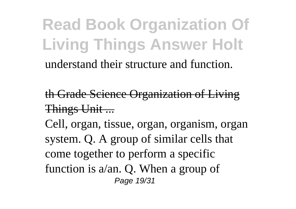understand their structure and function.

th Grade Science Organization of Living Things Unit ...

Cell, organ, tissue, organ, organism, organ system. Q. A group of similar cells that come together to perform a specific function is a/an. Q. When a group of Page 19/31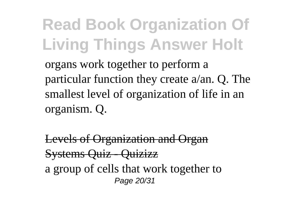**Read Book Organization Of Living Things Answer Holt** organs work together to perform a particular function they create a/an. Q. The smallest level of organization of life in an organism. Q.

Levels of Organization and Organ Systems Quiz - Quizizz a group of cells that work together to Page 20/31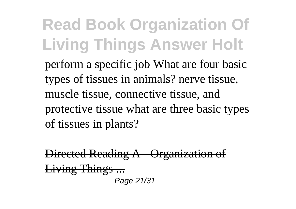perform a specific job What are four basic types of tissues in animals? nerve tissue, muscle tissue, connective tissue, and protective tissue what are three basic types of tissues in plants?

Directed Reading A - Organization of Living Things ... Page 21/31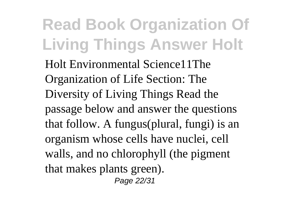Holt Environmental Science11The Organization of Life Section: The Diversity of Living Things Read the passage below and answer the questions that follow. A fungus(plural, fungi) is an organism whose cells have nuclei, cell walls, and no chlorophyll (the pigment that makes plants green). Page 22/31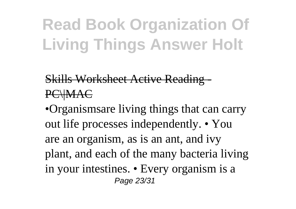### **Skills Worksheet Active Reading PC\\MAC**

•Organismsare living things that can carry out life processes independently. • You are an organism, as is an ant, and ivy plant, and each of the many bacteria living in your intestines. • Every organism is a Page 23/31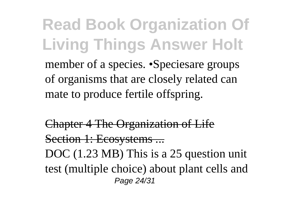**Read Book Organization Of Living Things Answer Holt** member of a species. •Speciesare groups of organisms that are closely related can mate to produce fertile offspring.

Chapter 4 The Organization of Life Section 1: Ecosystems ... DOC (1.23 MB) This is a 25 question unit test (multiple choice) about plant cells and Page 24/31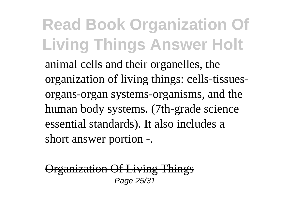animal cells and their organelles, the organization of living things: cells-tissuesorgans-organ systems-organisms, and the human body systems. (7th-grade science essential standards). It also includes a short answer portion -.

Organization Of Living Things Page 25/31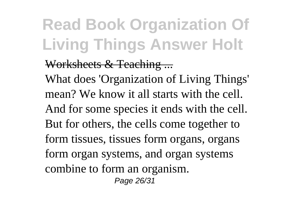### Worksheets & Teaching ...

What does 'Organization of Living Things' mean? We know it all starts with the cell. And for some species it ends with the cell. But for others, the cells come together to form tissues, tissues form organs, organs form organ systems, and organ systems combine to form an organism. Page 26/31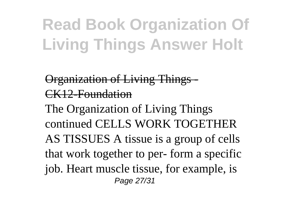### Organization of Living Things - CK12-Foundation

The Organization of Living Things continued CELLS WORK TOGETHER AS TISSUES A tissue is a group of cells that work together to per- form a specific job. Heart muscle tissue, for example, is Page 27/31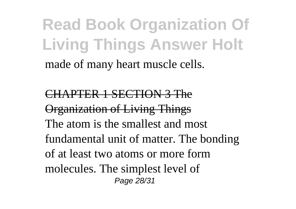made of many heart muscle cells.

CHAPTER 1 SECTION 3 The Organization of Living Things The atom is the smallest and most fundamental unit of matter. The bonding of at least two atoms or more form molecules. The simplest level of Page 28/31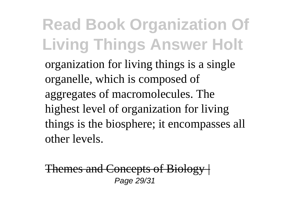organization for living things is a single organelle, which is composed of aggregates of macromolecules. The highest level of organization for living things is the biosphere; it encompasses all other levels.

Themes and Concepts of Biology | Page 29/31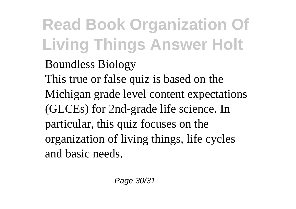### Boundless Biology

This true or false quiz is based on the Michigan grade level content expectations (GLCEs) for 2nd-grade life science. In particular, this quiz focuses on the organization of living things, life cycles and basic needs.